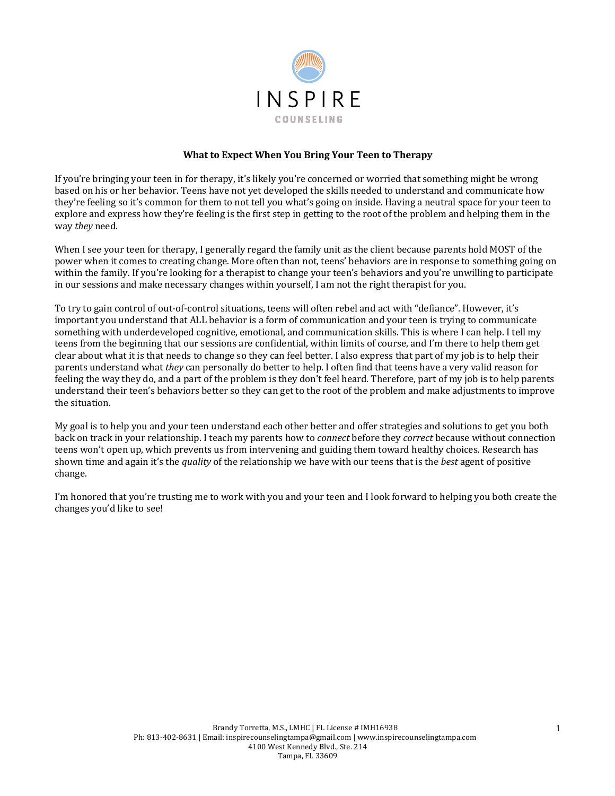

#### **What to Expect When You Bring Your Teen to Therapy**

If you're bringing your teen in for therapy, it's likely you're concerned or worried that something might be wrong based on his or her behavior. Teens have not yet developed the skills needed to understand and communicate how they're feeling so it's common for them to not tell you what's going on inside. Having a neutral space for your teen to explore and express how they're feeling is the first step in getting to the root of the problem and helping them in the way *they* need.

When I see your teen for therapy, I generally regard the family unit as the client because parents hold MOST of the power when it comes to creating change. More often than not, teens' behaviors are in response to something going on within the family. If you're looking for a therapist to change your teen's behaviors and you're unwilling to participate in our sessions and make necessary changes within yourself, I am not the right therapist for you.

To try to gain control of out-of-control situations, teens will often rebel and act with "defiance". However, it's important you understand that ALL behavior is a form of communication and your teen is trying to communicate something with underdeveloped cognitive, emotional, and communication skills. This is where I can help. I tell my teens from the beginning that our sessions are confidential, within limits of course, and I'm there to help them get clear about what it is that needs to change so they can feel better. I also express that part of my job is to help their parents understand what *they* can personally do better to help. I often find that teens have a very valid reason for feeling the way they do, and a part of the problem is they don't feel heard. Therefore, part of my job is to help parents understand their teen's behaviors better so they can get to the root of the problem and make adjustments to improve the situation.

My goal is to help you and your teen understand each other better and offer strategies and solutions to get you both back on track in your relationship. I teach my parents how to *connect* before they *correct* because without connection teens won't open up, which prevents us from intervening and guiding them toward healthy choices. Research has shown time and again it's the *quality* of the relationship we have with our teens that is the *best* agent of positive change. 

I'm honored that you're trusting me to work with you and your teen and I look forward to helping you both create the changes you'd like to see!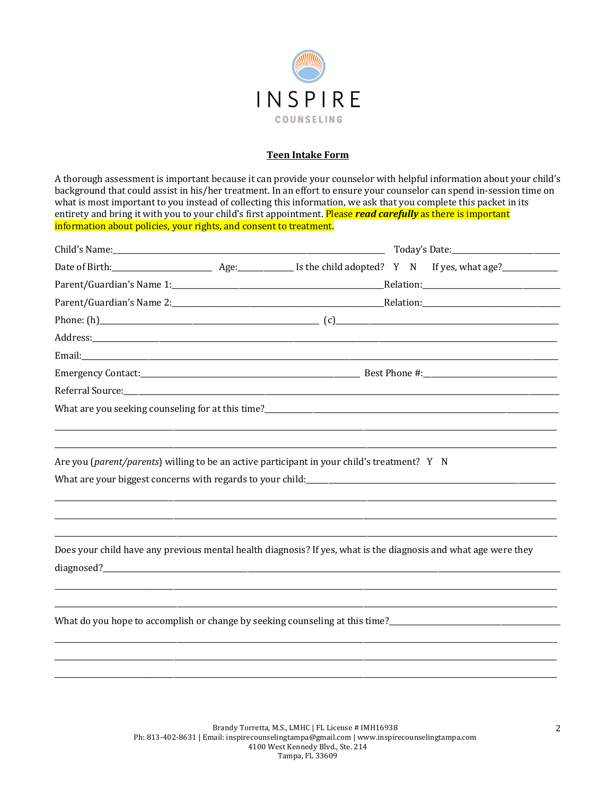

## **Teen Intake Form**

A thorough assessment is important because it can provide your counselor with helpful information about your child's background that could assist in his/her treatment. In an effort to ensure your counselor can spend in-session time on what is most important to you instead of collecting this information, we ask that you complete this packet in its entirety and bring it with you to your child's first appointment. Please read carefully as there is important information about policies, your rights, and consent to treatment.

| Are you (parent/parents) willing to be an active participant in your child's treatment? Y N                     |  |  |  |
|-----------------------------------------------------------------------------------------------------------------|--|--|--|
|                                                                                                                 |  |  |  |
|                                                                                                                 |  |  |  |
|                                                                                                                 |  |  |  |
| Does your child have any previous mental health diagnosis? If yes, what is the diagnosis and what age were they |  |  |  |
|                                                                                                                 |  |  |  |
|                                                                                                                 |  |  |  |
| What do you hope to accomplish or change by seeking counseling at this time?                                    |  |  |  |
|                                                                                                                 |  |  |  |
|                                                                                                                 |  |  |  |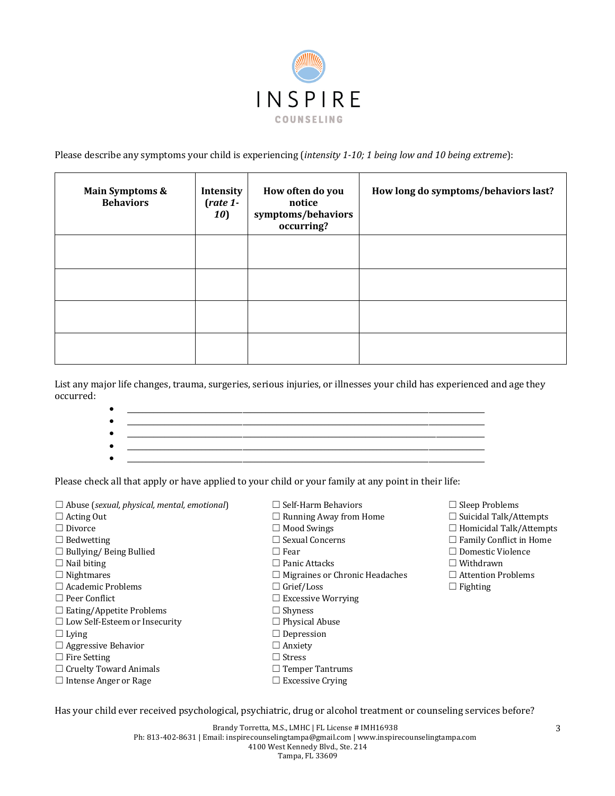

Please describe any symptoms your child is experiencing (*intensity* 1-10; 1 being low and 10 being extreme):

| <b>Main Symptoms &amp;</b><br><b>Behaviors</b> | Intensity<br>$(\text{rate } 1 -$<br>10) | How often do you<br>notice<br>symptoms/behaviors<br>occurring? | How long do symptoms/behaviors last? |
|------------------------------------------------|-----------------------------------------|----------------------------------------------------------------|--------------------------------------|
|                                                |                                         |                                                                |                                      |
|                                                |                                         |                                                                |                                      |
|                                                |                                         |                                                                |                                      |
|                                                |                                         |                                                                |                                      |

List any major life changes, trauma, surgeries, serious injuries, or illnesses your child has experienced and age they occurred:

> •  $\qquad \qquad \bullet$   $\qquad \qquad \bullet$   $\qquad \qquad \bullet$   $\qquad \qquad \bullet$   $\qquad \qquad \bullet$   $\qquad \bullet$   $\qquad \bullet$   $\qquad \bullet$   $\qquad \bullet$   $\qquad \bullet$   $\qquad \bullet$   $\qquad \bullet$   $\qquad \bullet$   $\qquad \bullet$   $\qquad \bullet$   $\qquad \bullet$   $\qquad \bullet$   $\qquad \bullet$   $\qquad \bullet$   $\qquad \bullet$   $\qquad \bullet$   $\qquad \bullet$   $\qquad \bullet$   $\qquad \bullet$   $\qquad \bullet$   $\qquad$ • \_\_\_\_\_\_\_\_\_\_\_\_\_\_\_\_\_\_\_\_\_\_\_\_\_\_\_\_\_\_\_\_\_\_\_\_\_\_\_\_\_\_\_\_\_\_\_\_\_\_\_\_\_\_\_\_\_\_\_\_\_\_\_\_\_\_\_\_\_\_\_\_\_\_\_\_\_\_\_\_\_\_\_\_\_\_\_\_\_\_\_\_\_\_\_\_  $\bullet$   $\hspace{0.2cm}$   $\hspace{0.2cm}$   $\hspace{0.2cm}$   $\hspace{0.2cm}$   $\hspace{0.2cm}$   $\hspace{0.2cm}$   $\hspace{0.2cm}$   $\hspace{0.2cm}$   $\hspace{0.2cm}$   $\hspace{0.2cm}$   $\hspace{0.2cm}$   $\hspace{0.2cm}$   $\hspace{0.2cm}$   $\hspace{0.2cm}$   $\hspace{0.2cm}$   $\hspace{0.2cm}$   $\hspace{0.2cm}$   $\hspace{0.2cm}$  • \_\_\_\_\_\_\_\_\_\_\_\_\_\_\_\_\_\_\_\_\_\_\_\_\_\_\_\_\_\_\_\_\_\_\_\_\_\_\_\_\_\_\_\_\_\_\_\_\_\_\_\_\_\_\_\_\_\_\_\_\_\_\_\_\_\_\_\_\_\_\_\_\_\_\_\_\_\_\_\_\_\_\_\_\_\_\_\_\_\_\_\_\_\_\_\_  $\bullet$  . The contribution of the contribution of the contribution of the contribution of the contribution of the contribution of the contribution of the contribution of the contribution of the contribution of the contributi

Please check all that apply or have applied to your child or your family at any point in their life:

| $\Box$ Abuse (sexual, physical, mental, emotional) | $\Box$ Self-Harm Behaviors            | $\Box$ Sleep Problems          |
|----------------------------------------------------|---------------------------------------|--------------------------------|
| $\Box$ Acting Out                                  | $\Box$ Running Away from Home         | $\Box$ Suicidal Talk/Attempts  |
| $\Box$ Divorce                                     | $\Box$ Mood Swings                    | $\Box$ Homicidal Talk/Attempts |
| $\Box$ Bedwetting                                  | $\Box$ Sexual Concerns                | $\Box$ Family Conflict in Home |
| $\Box$ Bullying/ Being Bullied                     | $\Box$ Fear                           | $\Box$ Domestic Violence       |
| $\Box$ Nail biting                                 | $\Box$ Panic Attacks                  | $\Box$ Withdrawn               |
| $\Box$ Nightmares                                  | $\Box$ Migraines or Chronic Headaches | $\Box$ Attention Problems      |
| $\Box$ Academic Problems                           | $\Box$ Grief/Loss                     | $\Box$ Fighting                |
| $\Box$ Peer Conflict                               | $\Box$ Excessive Worrying             |                                |
| $\Box$ Eating/Appetite Problems                    | $\Box$ Shyness                        |                                |
| $\Box$ Low Self-Esteem or Insecurity               | $\Box$ Physical Abuse                 |                                |
| $\Box$ Lying                                       | $\Box$ Depression                     |                                |
| $\Box$ Aggressive Behavior                         | $\Box$ Anxiety                        |                                |
| $\Box$ Fire Setting                                | $\Box$ Stress                         |                                |
| $\Box$ Cruelty Toward Animals                      | $\Box$ Temper Tantrums                |                                |
| $\Box$ Intense Anger or Rage                       | $\Box$ Excessive Crying               |                                |
|                                                    |                                       |                                |

Brandy Torretta, M.S., LMHC | FL License # IMH16938 Ph: 813-402-8631 | Email: inspirecounselingtampa@gmail.com | www.inspirecounselingtampa.com 4100 West Kennedy Blvd., Ste. 214 Tampa, FL 33609

Has your child ever received psychological, psychiatric, drug or alcohol treatment or counseling services before?

3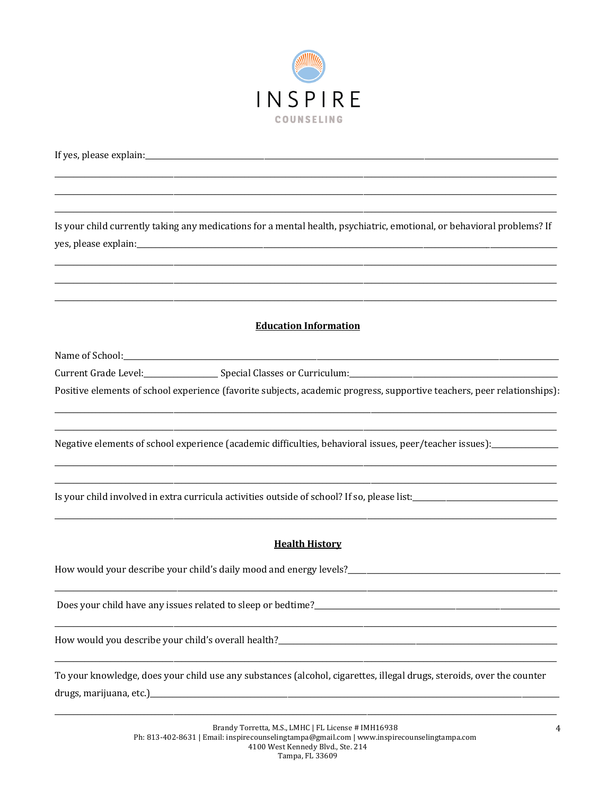

Is your child currently taking any medications for a mental health, psychiatric, emotional, or behavioral problems? If yes, please explain:

## **Education Information**

Name of School:

Positive elements of school experience (favorite subjects, academic progress, supportive teachers, peer relationships):

Negative elements of school experience (academic difficulties, behavioral issues, peer/teacher issues):

Is your child involved in extra curricula activities outside of school? If so, please list:\_\_\_\_\_\_\_\_\_\_\_\_\_\_\_\_\_\_\_

## **Health History**

Does your child have any issues related to sleep or bedtime?\_\_\_\_\_\_\_\_\_\_\_\_\_

To your knowledge, does your child use any substances (alcohol, cigarettes, illegal drugs, steroids, over the counter drugs, marijuana, etc.)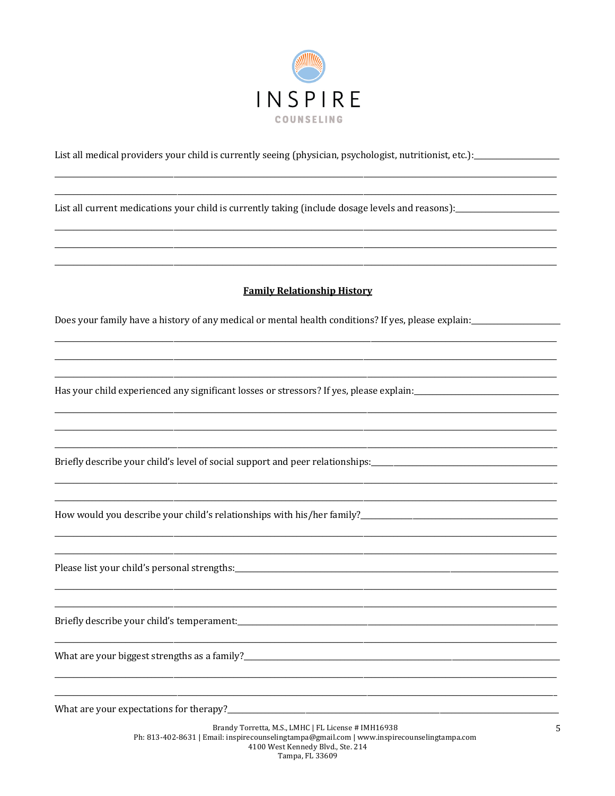

List all medical providers your child is currently seeing (physician, psychologist, nutritionist, etc.): \_\_\_\_\_\_\_\_\_\_\_\_\_\_\_\_\_\_\_\_\_\_\_\_\_\_\_\_\_\_

List all current medications your child is currently taking (include dosage levels and reasons):

#### **Family Relationship History**

Does your family have a history of any medical or mental health conditions? If yes, please explain:

Has your child experienced any significant losses or stressors? If yes, please explain:

Briefly describe your child's level of social support and peer relationships:

How would you describe your child's relationships with his/her family?\_\_\_\_\_\_\_\_\_\_\_\_\_\_\_\_\_\_\_\_\_\_\_\_\_\_\_\_\_\_

Briefly describe your child's temperament:

What are your expectations for therapy?\_\_\_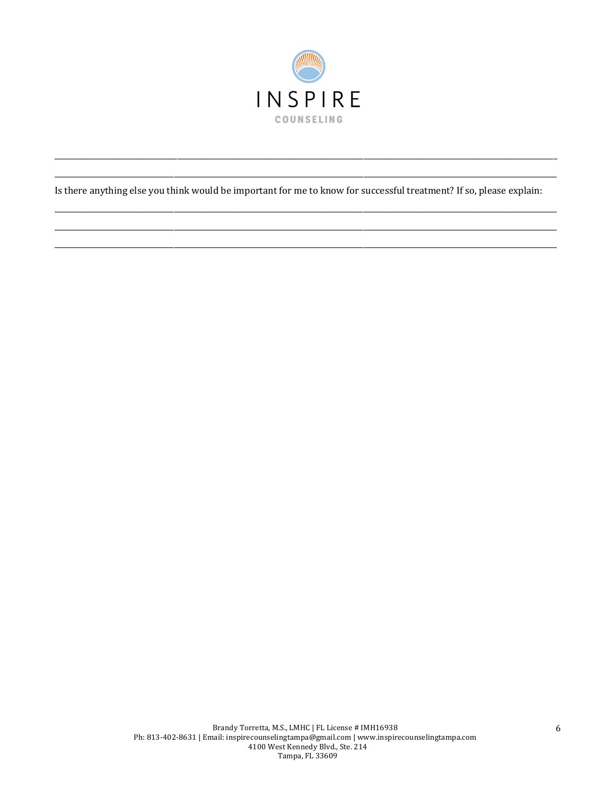

Is there anything else you think would be important for me to know for successful treatment? If so, please explain: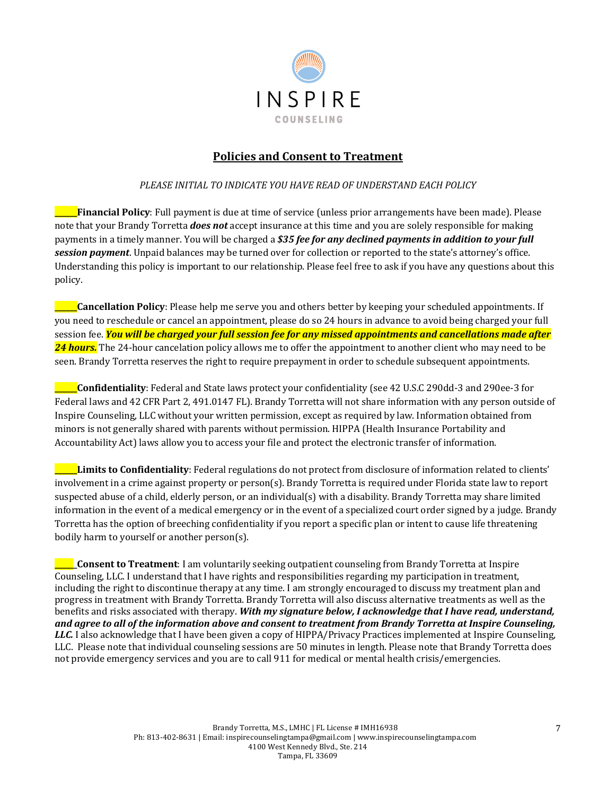

# **Policies and Consent to Treatment**

## **PLEASE INITIAL TO INDICATE YOU HAVE READ OF UNDERSTAND EACH POLICY**

**\_\_\_\_\_\_Financial Policy**: Full payment is due at time of service (unless prior arrangements have been made). Please note that your Brandy Torretta *does not* accept insurance at this time and you are solely responsible for making payments in a timely manner. You will be charged a \$35 *fee for any declined payments in addition to your full* **session payment**. Unpaid balances may be turned over for collection or reported to the state's attorney's office. Understanding this policy is important to our relationship. Please feel free to ask if you have any questions about this policy. 

**Lancellation Policy**: Please help me serve you and others better by keeping your scheduled appointments. If you need to reschedule or cancel an appointment, please do so 24 hours in advance to avoid being charged your full session fee. *You will be charged your full session fee for any missed appointments and cancellations made after* **24 hours.** The 24-hour cancelation policy allows me to offer the appointment to another client who may need to be seen. Brandy Torretta reserves the right to require prepayment in order to schedule subsequent appointments.

**Confidentiality**: Federal and State laws protect your confidentiality (see 42 U.S.C 290dd-3 and 290ee-3 for Federal laws and 42 CFR Part 2, 491.0147 FL). Brandy Torretta will not share information with any person outside of Inspire Counseling, LLC without your written permission, except as required by law. Information obtained from minors is not generally shared with parents without permission. HIPPA (Health Insurance Portability and Accountability Act) laws allow you to access your file and protect the electronic transfer of information.

**Limits to Confidentiality**: Federal regulations do not protect from disclosure of information related to clients' involvement in a crime against property or person(s). Brandy Torretta is required under Florida state law to report suspected abuse of a child, elderly person, or an individual(s) with a disability. Brandy Torretta may share limited information in the event of a medical emergency or in the event of a specialized court order signed by a judge. Brandy Torretta has the option of breeching confidentiality if you report a specific plan or intent to cause life threatening bodily harm to yourself or another person(s).

**\_Consent to Treatment**: I am voluntarily seeking outpatient counseling from Brandy Torretta at Inspire Counseling, LLC. I understand that I have rights and responsibilities regarding my participation in treatment, including the right to discontinue therapy at any time. I am strongly encouraged to discuss my treatment plan and progress in treatment with Brandy Torretta. Brandy Torretta will also discuss alternative treatments as well as the benefits and risks associated with therapy. With my signature below, I acknowledge that I have read, understand, *and agree to all of the information above and consent to treatment from Brandy Torretta at Inspire Counseling,*  LLC. I also acknowledge that I have been given a copy of HIPPA/Privacy Practices implemented at Inspire Counseling, LLC. Please note that individual counseling sessions are 50 minutes in length. Please note that Brandy Torretta does not provide emergency services and you are to call 911 for medical or mental health crisis/emergencies.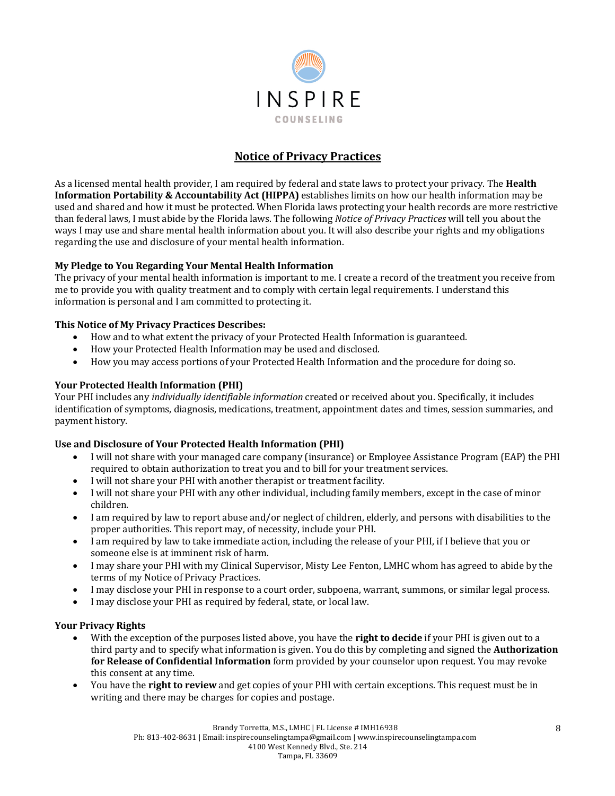

# **Notice of Privacy Practices**

As a licensed mental health provider, I am required by federal and state laws to protect your privacy. The **Health Information Portability & Accountability Act (HIPPA)** establishes limits on how our health information may be used and shared and how it must be protected. When Florida laws protecting your health records are more restrictive than federal laws, I must abide by the Florida laws. The following *Notice of Privacy Practices* will tell you about the ways I may use and share mental health information about you. It will also describe your rights and my obligations regarding the use and disclosure of your mental health information.

## **My Pledge to You Regarding Your Mental Health Information**

The privacy of your mental health information is important to me. I create a record of the treatment you receive from me to provide you with quality treatment and to comply with certain legal requirements. I understand this information is personal and I am committed to protecting it.

#### **This Notice of My Privacy Practices Describes:**

- How and to what extent the privacy of your Protected Health Information is guaranteed.
- How your Protected Health Information may be used and disclosed.
- How you may access portions of your Protected Health Information and the procedure for doing so.

#### **Your Protected Health Information (PHI)**

Your PHI includes any *individually identifiable information* created or received about you. Specifically, it includes identification of symptoms, diagnosis, medications, treatment, appointment dates and times, session summaries, and payment history.

#### Use and Disclosure of Your Protected Health Information (PHI)

- I will not share with your managed care company (insurance) or Employee Assistance Program (EAP) the PHI required to obtain authorization to treat you and to bill for your treatment services.
- I will not share your PHI with another therapist or treatment facility.
- I will not share your PHI with any other individual, including family members, except in the case of minor children.
- I am required by law to report abuse and/or neglect of children, elderly, and persons with disabilities to the proper authorities. This report may, of necessity, include your PHI.
- I am required by law to take immediate action, including the release of your PHI, if I believe that you or someone else is at imminent risk of harm.
- I may share your PHI with my Clinical Supervisor, Misty Lee Fenton, LMHC whom has agreed to abide by the terms of my Notice of Privacy Practices.
- I may disclose your PHI in response to a court order, subpoena, warrant, summons, or similar legal process.
- I may disclose your PHI as required by federal, state, or local law.

#### **Your Privacy Rights**

- With the exception of the purposes listed above, you have the **right to decide** if your PHI is given out to a third party and to specify what information is given. You do this by completing and signed the **Authorization** for Release of Confidential Information form provided by your counselor upon request. You may revoke this consent at any time.
- You have the **right to review** and get copies of your PHI with certain exceptions. This request must be in writing and there may be charges for copies and postage.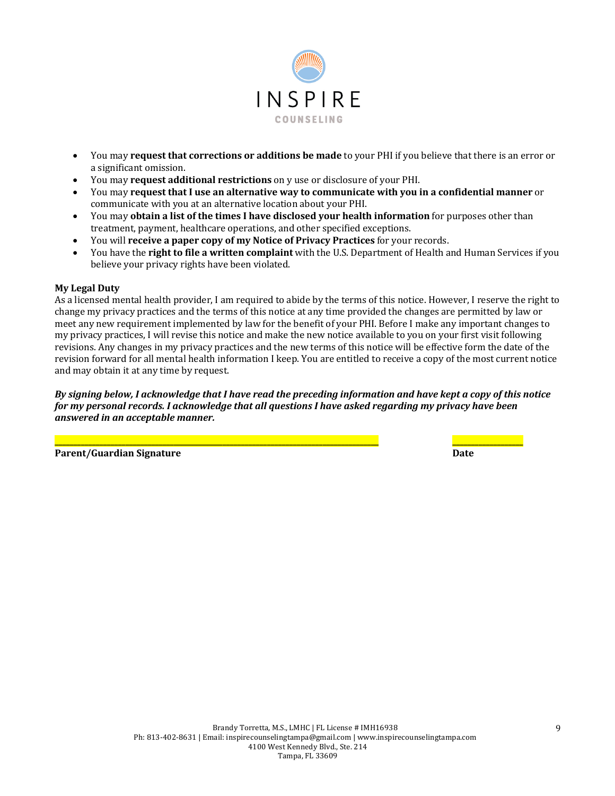

- You may **request that corrections or additions be made** to your PHI if you believe that there is an error or a significant omission.
- You may **request additional restrictions** on y use or disclosure of your PHI.
- You may **request that I use an alternative way to communicate with you in a confidential manner** or communicate with you at an alternative location about your PHI.
- You may **obtain a list of the times I have disclosed your health information** for purposes other than treatment, payment, healthcare operations, and other specified exceptions.
- You will **receive a paper copy of my Notice of Privacy Practices** for your records.
- You have the **right to file a written complaint** with the U.S. Department of Health and Human Services if you believe your privacy rights have been violated.

#### **My Legal Duty**

As a licensed mental health provider, I am required to abide by the terms of this notice. However, I reserve the right to change my privacy practices and the terms of this notice at any time provided the changes are permitted by law or meet any new requirement implemented by law for the benefit of your PHI. Before I make any important changes to my privacy practices, I will revise this notice and make the new notice available to you on your first visit following revisions. Any changes in my privacy practices and the new terms of this notice will be effective form the date of the revision forward for all mental health information I keep. You are entitled to receive a copy of the most current notice and may obtain it at any time by request.

By signing below, I acknowledge that I have read the preceding information and have kept a copy of this notice *for* my personal records. I acknowledge that all questions I have asked regarding my privacy have been *answered in an acceptable manner.*

**Parent/Guardian Signature Date**

**\_\_\_\_\_\_\_\_\_\_\_\_\_\_\_\_\_\_\_\_\_\_\_\_\_\_\_\_\_\_\_\_\_\_\_\_\_\_\_\_\_\_\_\_\_\_\_\_\_\_\_\_\_\_\_\_\_\_\_\_\_\_\_\_\_\_\_\_\_\_\_\_\_\_\_\_\_\_\_\_\_\_\_\_\_\_\_ \_\_\_\_\_\_\_\_\_\_\_\_\_\_\_\_\_\_\_**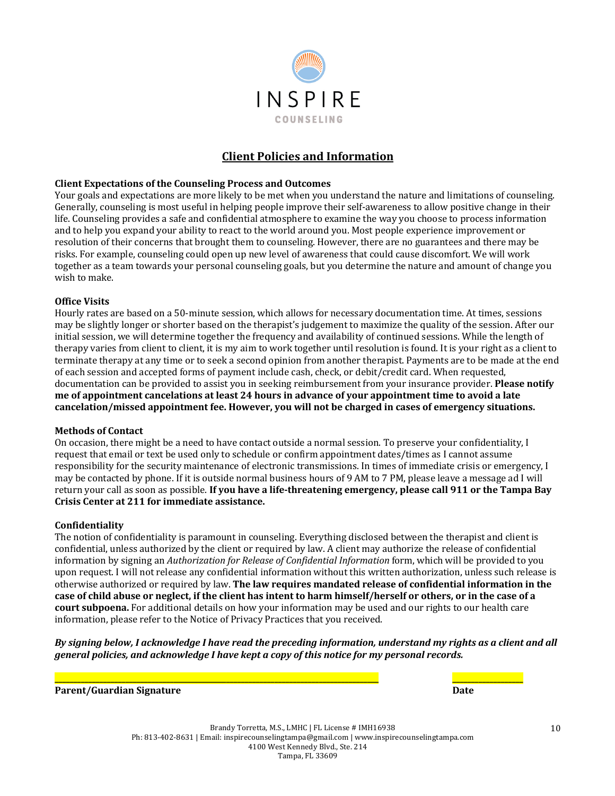

## **Client Policies and Information**

#### **Client Expectations of the Counseling Process and Outcomes**

Your goals and expectations are more likely to be met when you understand the nature and limitations of counseling. Generally, counseling is most useful in helping people improve their self-awareness to allow positive change in their life. Counseling provides a safe and confidential atmosphere to examine the way you choose to process information and to help you expand your ability to react to the world around you. Most people experience improvement or resolution of their concerns that brought them to counseling. However, there are no guarantees and there may be risks. For example, counseling could open up new level of awareness that could cause discomfort. We will work together as a team towards your personal counseling goals, but you determine the nature and amount of change you wish to make.

#### **Office Visits**

Hourly rates are based on a 50-minute session, which allows for necessary documentation time. At times, sessions may be slightly longer or shorter based on the therapist's judgement to maximize the quality of the session. After our initial session, we will determine together the frequency and availability of continued sessions. While the length of therapy varies from client to client, it is my aim to work together until resolution is found. It is your right as a client to terminate therapy at any time or to seek a second opinion from another therapist. Payments are to be made at the end of each session and accepted forms of payment include cash, check, or debit/credit card. When requested, documentation can be provided to assist you in seeking reimbursement from your insurance provider. **Please notify me** of appointment cancelations at least 24 hours in advance of your appointment time to avoid a late cancelation/missed appointment fee. However, you will not be charged in cases of emergency situations.

#### **Methods of Contact**

On occasion, there might be a need to have contact outside a normal session. To preserve your confidentiality, I request that email or text be used only to schedule or confirm appointment dates/times as I cannot assume responsibility for the security maintenance of electronic transmissions. In times of immediate crisis or emergency, I may be contacted by phone. If it is outside normal business hours of 9 AM to 7 PM, please leave a message ad I will return your call as soon as possible. If you have a life-threatening emergency, please call 911 or the Tampa Bay **Crisis Center at 211 for immediate assistance.** 

#### **Confidentiality**

The notion of confidentiality is paramount in counseling. Everything disclosed between the therapist and client is confidential, unless authorized by the client or required by law. A client may authorize the release of confidential information by signing an *Authorization for Release of Confidential Information* form, which will be provided to you upon request. I will not release any confidential information without this written authorization, unless such release is otherwise authorized or required by law. **The law requires mandated release of confidential information in the** case of child abuse or neglect, if the client has intent to harm himself/herself or others, or in the case of a **court subpoena.** For additional details on how your information may be used and our rights to our health care information, please refer to the Notice of Privacy Practices that you received.

By signing below, I acknowledge I have read the preceding information, understand my rights as a client and all *general policies, and acknowledge I have kept a copy of this notice for my personal records.* 

**Parent/Guardian Signature Date**

**\_\_\_\_\_\_\_\_\_\_\_\_\_\_\_\_\_\_\_\_\_\_\_\_\_\_\_\_\_\_\_\_\_\_\_\_\_\_\_\_\_\_\_\_\_\_\_\_\_\_\_\_\_\_\_\_\_\_\_\_\_\_\_\_\_\_\_\_\_\_\_\_\_\_\_\_\_\_\_\_\_\_\_\_\_\_\_ \_\_\_\_\_\_\_\_\_\_\_\_\_\_\_\_\_\_\_**